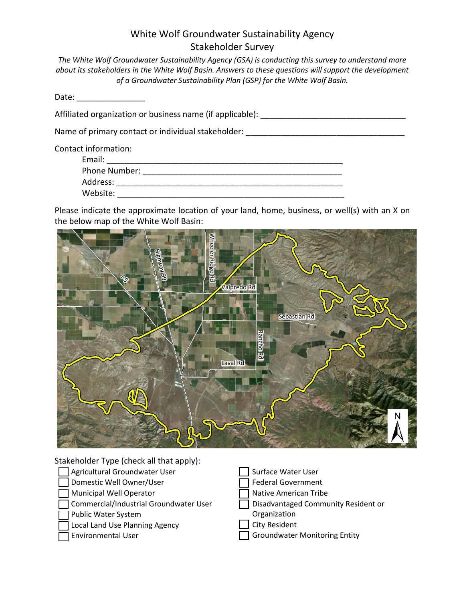## White Wolf Groundwater Sustainability Agency Stakeholder Survey

*The White Wolf Groundwater Sustainability Agency (GSA) is conducting this survey to understand more about its stakeholders in the White Wolf Basin. Answers to these questions will support the development of a Groundwater Sustainability Plan (GSP) for the White Wolf Basin.*

Date: \_\_\_\_\_\_\_\_\_\_\_\_\_\_\_

Affiliated organization or business name (if applicable): \_\_\_\_\_\_\_\_\_\_\_\_\_\_\_\_\_\_\_\_\_\_\_\_\_\_\_\_\_\_\_\_

Name of primary contact or individual stakeholder:  $\blacksquare$ 

Contact information:

| Email:        |  |  |
|---------------|--|--|
| Phone Number: |  |  |
| Address:      |  |  |
| Website:      |  |  |

Please indicate the approximate location of your land, home, business, or well(s) with an X on the below map of the White Wolf Basin:



Stakeholder Type (check all that apply):

- Agricultural Groundwater User
- Domestic Well Owner/User
- Municipal Well Operator
- Commercial/Industrial Groundwater User
- Public Water System
- Local Land Use Planning Agency
- Environmental User

 Surface Water User Federal Government Native American Tribe Disadvantaged Community Resident or **Organization**  City Resident Groundwater Monitoring Entity